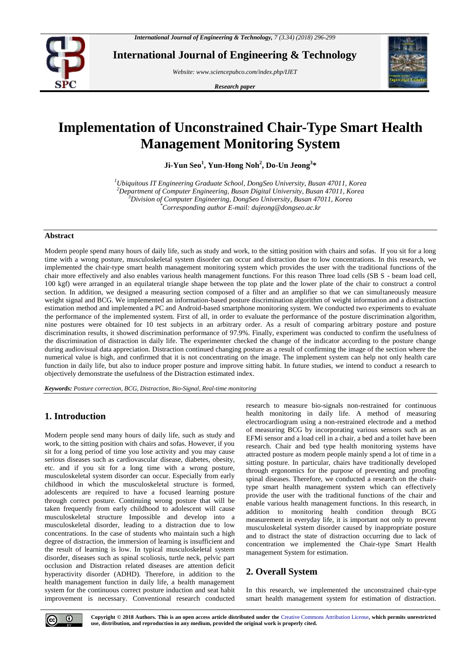

**International Journal of Engineering & Technology**

*Website: www.sciencepubco.com/index.php/IJET*

*Research paper*



# **Implementation of Unconstrained Chair-Type Smart Health Management Monitoring System**

**Ji-Yun Seo<sup>1</sup> , Yun-Hong Noh<sup>2</sup> , Do-Un Jeong<sup>3</sup> \***

*Ubiquitous IT Engineering Graduate School, DongSeo University, Busan 47011, Korea Department of Computer Engineering, Busan Digital University, Busan 47011, Korea Division of Computer Engineering, DongSeo University, Busan 47011, Korea \*Corresponding author E-mail: dujeong@dongseo.ac.kr*

## **Abstract**

Modern people spend many hours of daily life, such as study and work, to the sitting position with chairs and sofas. If you sit for a long time with a wrong posture, musculoskeletal system disorder can occur and distraction due to low concentrations. In this research, we implemented the chair-type smart health management monitoring system which provides the user with the traditional functions of the chair more effectively and also enables various health management functions. For this reason Three load cells (SB S - beam load cell, 100 kgf) were arranged in an equilateral triangle shape between the top plate and the lower plate of the chair to construct a control section. In addition, we designed a measuring section composed of a filter and an amplifier so that we can simultaneously measure weight signal and BCG. We implemented an information-based posture discrimination algorithm of weight information and a distraction estimation method and implemented a PC and Android-based smartphone monitoring system. We conducted two experiments to evaluate the performance of the implemented system. First of all, in order to evaluate the performance of the posture discrimination algorithm, nine postures were obtained for 10 test subjects in an arbitrary order. As a result of comparing arbitrary posture and posture discrimination results, it showed discrimination performance of 97.9%. Finally, experiment was conducted to confirm the usefulness of the discrimination of distraction in daily life. The experimenter checked the change of the indicator according to the posture change during audiovisual data appreciation. Distraction continued changing posture as a result of confirming the image of the section where the numerical value is high, and confirmed that it is not concentrating on the image. The implement system can help not only health care function in daily life, but also to induce proper posture and improve sitting habit. In future studies, we intend to conduct a research to objectively demonstrate the usefulness of the Distraction estimated index.

*Keywords: Posture correction, BCG, Distraction, Bio-Signal, Real-time monitoring*

# **1. Introduction**

Modern people send many hours of daily life, such as study and work, to the sitting position with chairs and sofas. However, if you sit for a long period of time you lose activity and you may cause serious diseases such as cardiovascular disease, diabetes, obesity, etc. and if you sit for a long time with a wrong posture, musculoskeletal system disorder can occur. Especially from early childhood in which the musculoskeletal structure is formed, adolescents are required to have a focused learning posture through correct posture. Continuing wrong posture that will be taken frequently from early childhood to adolescent will cause musculoskeletal structure Impossible and develop into a musculoskeletal disorder, leading to a distraction due to low concentrations. In the case of students who maintain such a high degree of distraction, the immersion of learning is insufficient and the result of learning is low. In typical musculoskeletal system disorder, diseases such as spinal scoliosis, turtle neck, pelvic part occlusion and Distraction related diseases are attention deficit hyperactivity disorder (ADHD). Therefore, in addition to the health management function in daily life, a health management system for the continuous correct posture induction and seat habit improvement is necessary. Conventional research conducted

research to measure bio-signals non-restrained for continuous health monitoring in daily life. A method of measuring electrocardiogram using a non-restrained electrode and a method of measuring BCG by incorporating various sensors such as an EFMi sensor and a load cell in a chair, a bed and a toilet have been research. Chair and bed type health monitoring systems have attracted posture as modern people mainly spend a lot of time in a sitting posture. In particular, chairs have traditionally developed through ergonomics for the purpose of preventing and proofing spinal diseases. Therefore, we conducted a research on the chairtype smart health management system which can effectively provide the user with the traditional functions of the chair and enable various health management functions. In this research, in addition to monitoring health condition through BCG measurement in everyday life, it is important not only to prevent musculoskeletal system disorder caused by inappropriate posture and to distract the state of distraction occurring due to lack of concentration we implemented the Chair-type Smart Health management System for estimation.

# **2. Overall System**

In this research, we implemented the unconstrained chair-type smart health management system for estimation of distraction.

**Copyright © 2018 Authors. This is an open access article distributed under the** [Creative Commons Attribution License](http://creativecommons.org/licenses/by/3.0/)**, which permits unrestricted use, distribution, and reproduction in any medium, provided the original work is properly cited.**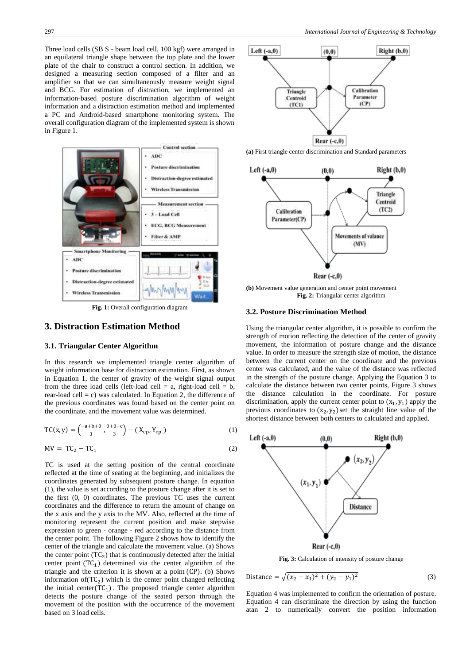Three load cells (SB S - beam load cell, 100 kgf) were arranged in an equilateral triangle shape between the top plate and the lower plate of the chair to construct a control section. In addition, we designed a measuring section composed of a filter and an amplifier so that we can simultaneously measure weight signal and BCG. For estimation of distraction, we implemented an information-based posture discrimination algorithm of weight information and a distraction estimation method and implemented a PC and Android-based smartphone monitoring system. The overall configuration diagram of the implemented system is shown in Figure 1.



**Fig. 1:** Overall configuration diagram

# **3. Distraction Estimation Method**

#### **3.1. Triangular Center Algorithm**

In this research we implemented triangle center algorithm of weight information base for distraction estimation. First, as shown in Equation 1, the center of gravity of the weight signal output from the three load cells (left-load cell = a, right-load cell = b, rear-load cell = c) was calculated. In Equation 2, the difference of the previous coordinates was found based on the center point on the coordinate, and the movement value was determined.

$$
TC(x, y) = \left(\frac{-a+b+0}{3}, \frac{0+0-c}{3}\right) - (X_{cp}, Y_{cp})
$$
 (1)

$$
MV = TC_2 - TC_1 \tag{2}
$$

TC is used at the setting position of the central coordinate reflected at the time of seating at the beginning, and initializes the coordinates generated by subsequent posture change. In equation (1), the value is set according to the posture change after it is set to the first (0, 0) coordinates. The previous TC uses the current coordinates and the difference to return the amount of change on the x axis and the y axis to the MV. Also, reflected at the time of monitoring represent the current position and make stepwise expression to green - orange - red according to the distance from the center point. The following Figure 2 shows how to identify the center of the triangle and calculate the movement value. (a) Shows the center point  $(TC_2)$  that is continuously detected after the initial center point  $(TC_1)$  determined via the center algorithm of the triangle and the criterion it is shown at a point  $(CP)$ . (b) Shows information of  $(TC_2)$  which is the center point changed reflecting the initial center( $TC_1$ ). The proposed triangle center algorithm detects the posture change of the seated person through the movement of the position with the occurrence of the movement based on 3 load cells.



**(a)** First triangle center discrimination and Standard parameters



**(b)** Movement value generation and center point movement **Fig. 2:** Triangular center algorithm

#### **3.2. Posture Discrimination Method**

Using the triangular center algorithm, it is possible to confirm the strength of motion reflecting the detection of the center of gravity movement, the information of posture change and the distance value. In order to measure the strength size of motion, the distance between the current center on the coordinate and the previous center was calculated, and the value of the distance was reflected in the strength of the posture change. Applying the Equation 3 to calculate the distance between two center points, Figure 3 shows the distance calculation in the coordinate. For posture discrimination, apply the current center point to  $(x_1, y_1)$  apply the previous coordinates to  $(x_2, y_2)$  set the straight line value of the shortest distance between both centers to calculated and applied.



Distance = 
$$
\sqrt{(x_2 - x_1)^2 + (y_2 - y_1)^2}
$$
 (3)

Equation 4 was implemented to confirm the orientation of posture. Equation 4 can discriminate the direction by using the function atan 2 to numerically convert the position information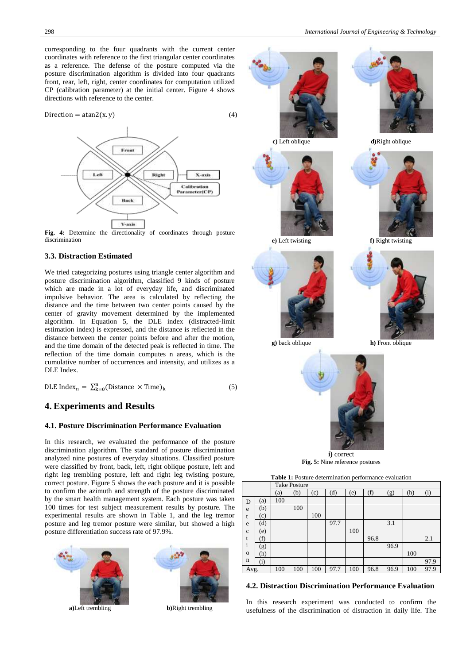corresponding to the four quadrants with the current center coordinates with reference to the first triangular center coordinates as a reference. The defense of the posture computed via the posture discrimination algorithm is divided into four quadrants front, rear, left, right, center coordinates for computation utilized CP (calibration parameter) at the initial center. Figure 4 shows directions with reference to the center.

$$
Direction = atan2(x, y)
$$
 (4)



**Fig. 4:** Determine the directionality of coordinates through posture discrimination

#### **3.3. Distraction Estimated**

We tried categorizing postures using triangle center algorithm and posture discrimination algorithm, classified 9 kinds of posture which are made in a lot of everyday life, and discriminated impulsive behavior. The area is calculated by reflecting the distance and the time between two center points caused by the center of gravity movement determined by the implemented algorithm. In Equation 5, the DLE index (distracted-limit estimation index) is expressed, and the distance is reflected in the distance between the center points before and after the motion, and the time domain of the detected peak is reflected in time. The reflection of the time domain computes n areas, which is the cumulative number of occurrences and intensity, and utilizes as a DLE Index.

DLE Index<sub>n</sub> =  $\sum_{k=0}^{n}$ (Distance × Time)<sub>k</sub> (5)

## **4. Experiments and Results**

#### **4.1. Posture Discrimination Performance Evaluation**

In this research, we evaluated the performance of the posture discrimination algorithm. The standard of posture discrimination analyzed nine postures of everyday situations. Classified posture were classified by front, back, left, right oblique posture, left and right leg trembling posture, left and right leg twisting posture, correct posture. Figure 5 shows the each posture and it is possible to confirm the azimuth and strength of the posture discriminated by the smart health management system. Each posture was taken 100 times for test subject measurement results by posture. The experimental results are shown in Table 1, and the leg tremor posture and leg tremor posture were similar, but showed a high posture differentiation success rate of 97.9%.





i o n

**a)**Left trembling **b)**Right trembling



(i) 97.9 Avg. 100 100 100 97.7 100 96.8 96.9 100 97.9

#### **4.2. Distraction Discrimination Performance Evaluation**

 $(g)$  | | | | | | 96.9 (h) 100

In this research experiment was conducted to confirm the usefulness of the discrimination of distraction in daily life. The